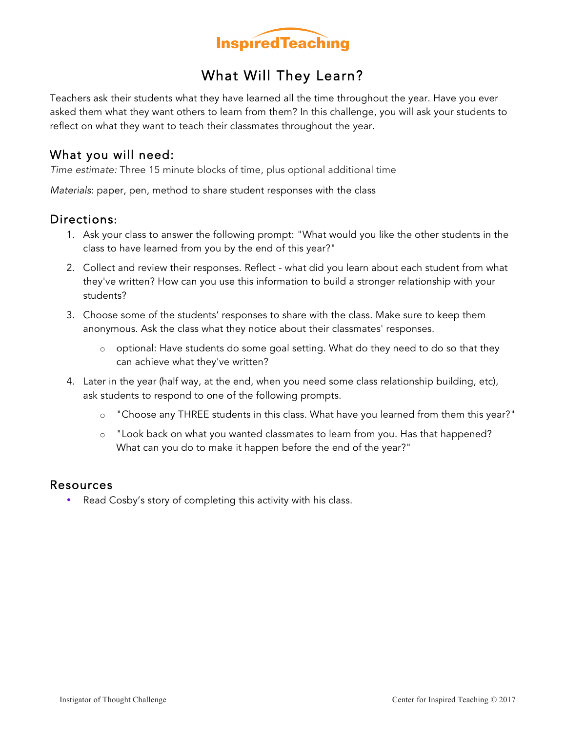

## What Will They Learn?

Teachers ask their students what they have learned all the time throughout the year. Have you ever asked them what they want others to learn from them? In this challenge, you will ask your students to reflect on what they want to teach their classmates throughout the year.

### What you will need:

*Time estimate:* Three 15 minute blocks of time, plus optional additional time

*Materials*: paper, pen, method to share student responses with the class

### Directions:

- 1. Ask your class to answer the following prompt: "What would you like the other students in the class to have learned from you by the end of this year?"
- 2. Collect and review their responses. Reflect what did you learn about each student from what they've written? How can you use this information to build a stronger relationship with your students?
- 3. Choose some of the students' responses to share with the class. Make sure to keep them anonymous. Ask the class what they notice about their classmates' responses.
	- o optional: Have students do some goal setting. What do they need to do so that they can achieve what they've written?
- 4. Later in the year (half way, at the end, when you need some class relationship building, etc), ask students to respond to one of the following prompts.
	- o "Choose any THREE students in this class. What have you learned from them this year?"
	- o "Look back on what you wanted classmates to learn from you. Has that happened? What can you do to make it happen before the end of the year?"

#### Resources

• Read Cosby's story of completing this activity with his class.